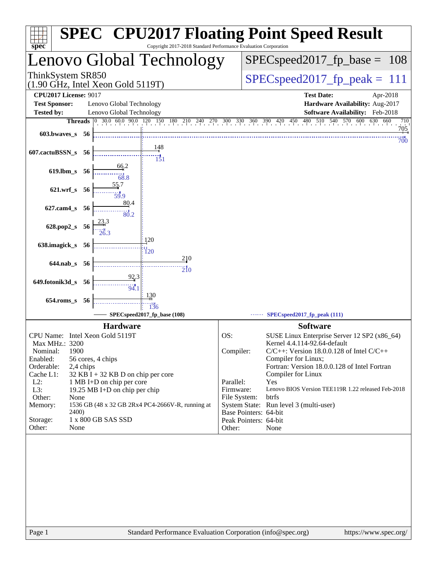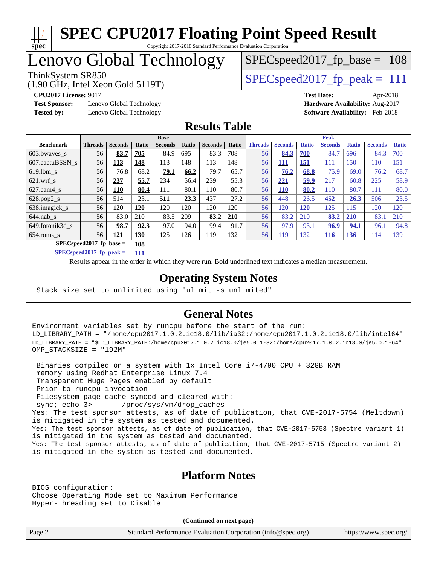

## Lenovo Global Technology

ThinkSystem SR850  $SPEC speed2017$  fp\_peak = 111

SPECspeed2017 fp base =  $108$ 

**[Test Sponsor:](http://www.spec.org/auto/cpu2017/Docs/result-fields.html#TestSponsor)** Lenovo Global Technology **[Hardware Availability:](http://www.spec.org/auto/cpu2017/Docs/result-fields.html#HardwareAvailability)** Aug-2017 **[Tested by:](http://www.spec.org/auto/cpu2017/Docs/result-fields.html#Testedby)** Lenovo Global Technology **[Software Availability:](http://www.spec.org/auto/cpu2017/Docs/result-fields.html#SoftwareAvailability)** Feb-2018

(1.90 GHz, Intel Xeon Gold 5119T)

**[CPU2017 License:](http://www.spec.org/auto/cpu2017/Docs/result-fields.html#CPU2017License)** 9017 **[Test Date:](http://www.spec.org/auto/cpu2017/Docs/result-fields.html#TestDate)** Apr-2018

### **[Results Table](http://www.spec.org/auto/cpu2017/Docs/result-fields.html#ResultsTable)**

|                                   | <b>Base</b>    |                |              |                | <b>Peak</b>  |                |            |                |                |              |                |              |                |              |
|-----------------------------------|----------------|----------------|--------------|----------------|--------------|----------------|------------|----------------|----------------|--------------|----------------|--------------|----------------|--------------|
| <b>Benchmark</b>                  | <b>Threads</b> | <b>Seconds</b> | <b>Ratio</b> | <b>Seconds</b> | <b>Ratio</b> | <b>Seconds</b> | Ratio      | <b>Threads</b> | <b>Seconds</b> | <b>Ratio</b> | <b>Seconds</b> | <b>Ratio</b> | <b>Seconds</b> | <b>Ratio</b> |
| $603.bwaves$ s                    | 56             | 83.7           | 705          | 84.9           | 695          | 83.3           | 708        | 56             | 84.3           | 700          | 84.7           | 696          | 84.3           | 700          |
| 607.cactuBSSN s                   | 56             | <u>113</u>     | 148          | 113            | 148          | 113            | 148        | 56             | <u> 111</u>    | <b>151</b>   | 111            | 150          | 110            | 151          |
| $619.1$ bm s                      | 56             | 76.8           | 68.2         | 79.1           | 66.2         | 79.7           | 65.7       | 56             | 76.2           | 68.8         | 75.9           | 69.0         | 76.2           | 68.7         |
| $621$ .wrf s                      | 56             | 237            | 55.7         | 234            | 56.4         | 239            | 55.3       | 56             | 221            | 59.9         | 217            | 60.8         | 225            | 58.9         |
| $627$ .cam4 s                     | 56             | 110            | 80.4         | 111            | 80.1         | 110            | 80.7       | 56             | 110            | 80.2         | 110            | 80.7         | 111            | 80.0         |
| $628.pop2_s$                      | 56             | 514            | 23.1         | 511            | 23.3         | 437            | 27.2       | 56             | 448            | 26.5         | 452            | 26.3         | 506            | 23.5         |
| 638.imagick_s                     | 56             | 120            | 120          | 120            | 120          | 120            | 120        | 56             | <b>120</b>     | 120          | 125            | 115          | 120            | 120          |
| $644$ .nab s                      | 56             | 83.0           | 210          | 83.5           | 209          | 83.2           | <b>210</b> | 56             | 83.2           | 210          | 83.2           | 210          | 83.1           | 210          |
| 649.fotonik3d s                   | 56             | 98.7           | 92.3         | 97.0           | 94.0         | 99.4           | 91.7       | 56             | 97.9           | 93.1         | 96.9           | 94.1         | 96.1           | 94.8         |
| $654$ .roms s                     | 56             | 121            | <b>130</b>   | 125            | 126          | 119            | 132        | 56             | 119            | 132          | 116            | <b>136</b>   | 114            | 139          |
| $SPEC speed2017$ fp base =<br>108 |                |                |              |                |              |                |            |                |                |              |                |              |                |              |

**[SPECspeed2017\\_fp\\_peak =](http://www.spec.org/auto/cpu2017/Docs/result-fields.html#SPECspeed2017fppeak) 111**

Results appear in the [order in which they were run.](http://www.spec.org/auto/cpu2017/Docs/result-fields.html#RunOrder) Bold underlined text [indicates a median measurement](http://www.spec.org/auto/cpu2017/Docs/result-fields.html#Median).

### **[Operating System Notes](http://www.spec.org/auto/cpu2017/Docs/result-fields.html#OperatingSystemNotes)**

Stack size set to unlimited using "ulimit -s unlimited"

### **[General Notes](http://www.spec.org/auto/cpu2017/Docs/result-fields.html#GeneralNotes)**

Environment variables set by runcpu before the start of the run: LD\_LIBRARY\_PATH = "/home/cpu2017.1.0.2.ic18.0/lib/ia32:/home/cpu2017.1.0.2.ic18.0/lib/intel64" LD\_LIBRARY\_PATH = "\$LD\_LIBRARY\_PATH:/home/cpu2017.1.0.2.ic18.0/je5.0.1-32:/home/cpu2017.1.0.2.ic18.0/je5.0.1-64" OMP\_STACKSIZE = "192M"

 Binaries compiled on a system with 1x Intel Core i7-4790 CPU + 32GB RAM memory using Redhat Enterprise Linux 7.4 Transparent Huge Pages enabled by default Prior to runcpu invocation Filesystem page cache synced and cleared with: sync; echo 3> /proc/sys/vm/drop\_caches Yes: The test sponsor attests, as of date of publication, that CVE-2017-5754 (Meltdown) is mitigated in the system as tested and documented. Yes: The test sponsor attests, as of date of publication, that CVE-2017-5753 (Spectre variant 1) is mitigated in the system as tested and documented. Yes: The test sponsor attests, as of date of publication, that CVE-2017-5715 (Spectre variant 2) is mitigated in the system as tested and documented.

### **[Platform Notes](http://www.spec.org/auto/cpu2017/Docs/result-fields.html#PlatformNotes)**

BIOS configuration: Choose Operating Mode set to Maximum Performance Hyper-Threading set to Disable

**(Continued on next page)**

Page 2 Standard Performance Evaluation Corporation [\(info@spec.org\)](mailto:info@spec.org) <https://www.spec.org/>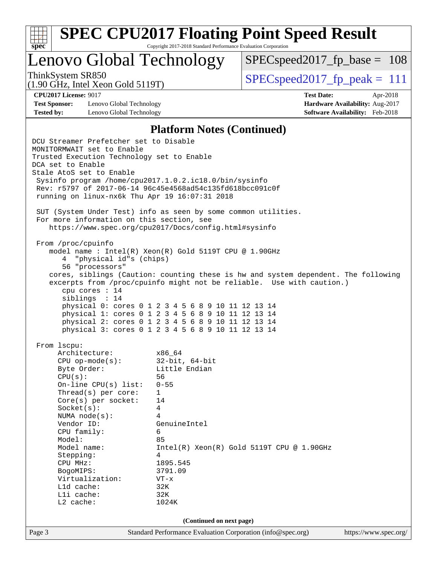

Lenovo Global Technology

 $SPEC speed2017_fp\_base = 108$ 

(1.90 GHz, Intel Xeon Gold 5119T)

ThinkSystem SR850  $SPEC speed2017$  fp\_peak = 111

**[Test Sponsor:](http://www.spec.org/auto/cpu2017/Docs/result-fields.html#TestSponsor)** Lenovo Global Technology **[Hardware Availability:](http://www.spec.org/auto/cpu2017/Docs/result-fields.html#HardwareAvailability)** Aug-2017 **[Tested by:](http://www.spec.org/auto/cpu2017/Docs/result-fields.html#Testedby)** Lenovo Global Technology **[Software Availability:](http://www.spec.org/auto/cpu2017/Docs/result-fields.html#SoftwareAvailability)** Feb-2018

**[CPU2017 License:](http://www.spec.org/auto/cpu2017/Docs/result-fields.html#CPU2017License)** 9017 **[Test Date:](http://www.spec.org/auto/cpu2017/Docs/result-fields.html#TestDate)** Apr-2018

#### **[Platform Notes \(Continued\)](http://www.spec.org/auto/cpu2017/Docs/result-fields.html#PlatformNotes)**

Page 3 Standard Performance Evaluation Corporation [\(info@spec.org\)](mailto:info@spec.org) <https://www.spec.org/> DCU Streamer Prefetcher set to Disable MONITORMWAIT set to Enable Trusted Execution Technology set to Enable DCA set to Enable Stale AtoS set to Enable Sysinfo program /home/cpu2017.1.0.2.ic18.0/bin/sysinfo Rev: r5797 of 2017-06-14 96c45e4568ad54c135fd618bcc091c0f running on linux-nx6k Thu Apr 19 16:07:31 2018 SUT (System Under Test) info as seen by some common utilities. For more information on this section, see <https://www.spec.org/cpu2017/Docs/config.html#sysinfo> From /proc/cpuinfo model name : Intel(R) Xeon(R) Gold 5119T CPU @ 1.90GHz 4 "physical id"s (chips) 56 "processors" cores, siblings (Caution: counting these is hw and system dependent. The following excerpts from /proc/cpuinfo might not be reliable. Use with caution.) cpu cores : 14 siblings : 14 physical 0: cores 0 1 2 3 4 5 6 8 9 10 11 12 13 14 physical 1: cores 0 1 2 3 4 5 6 8 9 10 11 12 13 14 physical 2: cores 0 1 2 3 4 5 6 8 9 10 11 12 13 14 physical 3: cores 0 1 2 3 4 5 6 8 9 10 11 12 13 14 From lscpu: Architecture: x86\_64 CPU op-mode(s): 32-bit, 64-bit Byte Order: Little Endian CPU(s): 56 On-line CPU(s) list: 0-55 Thread(s) per core: 1 Core(s) per socket: 14 Socket(s): 4 NUMA node(s): 4 Vendor ID: GenuineIntel CPU family: 6 Model: 85 Model name:  $Intel(R)$  Xeon(R) Gold 5119T CPU @ 1.90GHz Stepping: 4 CPU MHz: 1895.545 BogoMIPS: 3791.09 Virtualization: VT-x L1d cache: 32K L1i cache: 32K L2 cache: 1024K **(Continued on next page)**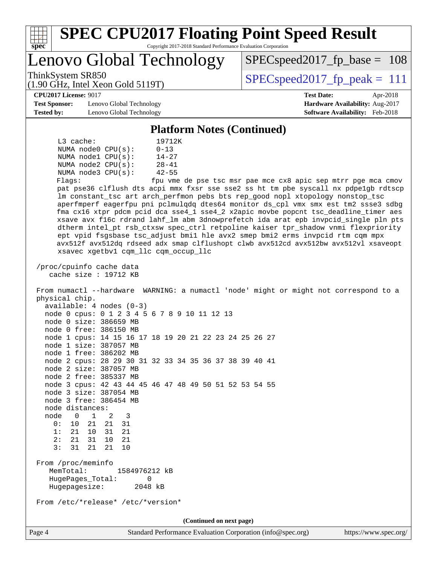| ThinkSystem SR850<br>$SPEC speed2017_fp\_peak = 111$<br>$(1.90 \text{ GHz}, \text{Intel Xeon Gold } 5119 \text{T})$<br><b>CPU2017 License: 9017</b><br><b>Test Date:</b><br>Apr-2018<br><b>Test Sponsor:</b><br>Lenovo Global Technology<br><b>Tested by:</b><br>Lenovo Global Technology<br><b>Platform Notes (Continued)</b><br>$L3$ cache:<br>19712K<br>NUMA node0 CPU(s):<br>$0 - 13$<br>NUMA $node1$ $CPU(s):$<br>$14 - 27$<br>NUMA $node2$ $CPU(s):$<br>$28 - 41$<br>NUMA node3 CPU(s):<br>$42 - 55$<br>Flags:<br>fpu vme de pse tsc msr pae mce cx8 apic sep mtrr pge mca cmov<br>pat pse36 clflush dts acpi mmx fxsr sse sse2 ss ht tm pbe syscall nx pdpelgb rdtscp<br>lm constant_tsc art arch_perfmon pebs bts rep_good nopl xtopology nonstop_tsc<br>aperfmperf eagerfpu pni pclmulqdq dtes64 monitor ds_cpl vmx smx est tm2 ssse3 sdbg<br>fma cx16 xtpr pdcm pcid dca sse4_1 sse4_2 x2apic movbe popcnt tsc_deadline_timer aes<br>xsave avx f16c rdrand lahf_lm abm 3dnowprefetch ida arat epb invpcid_single pln pts<br>dtherm intel_pt rsb_ctxsw spec_ctrl retpoline kaiser tpr_shadow vnmi flexpriority<br>ept vpid fsgsbase tsc_adjust bmil hle avx2 smep bmi2 erms invpcid rtm cqm mpx<br>avx512f avx512dq rdseed adx smap clflushopt clwb avx512cd avx512bw avx512vl xsaveopt<br>xsavec xgetbvl cqm_llc cqm_occup_llc<br>/proc/cpuinfo cache data<br>cache size : 19712 KB<br>From numactl --hardware WARNING: a numactl 'node' might or might not correspond to a<br>physical chip.<br>$available: 4 nodes (0-3)$<br>node 0 cpus: 0 1 2 3 4 5 6 7 8 9 10 11 12 13<br>node 0 size: 386659 MB<br>node 0 free: 386150 MB<br>node 1 cpus: 14 15 16 17 18 19 20 21 22 23 24 25 26 27<br>node 1 size: 387057 MB<br>node 1 free: 386202 MB<br>node 2 cpus: 28 29 30 31 32 33 34 35 36 37 38 39 40 41<br>node 2 size: 387057 MB<br>node 2 free: 385337 MB<br>node 3 cpus: 42 43 44 45 46 47 48 49 50 51 52 53 54 55<br>node 3 size: 387054 MB<br>node 3 free: 386454 MB<br>node distances:<br>node 0<br>$\overline{1}$<br>2<br>3<br>0: 10 21<br>21<br>31<br>1: 21 10<br>31 21<br>2:<br>21 31<br>10<br>21<br>3:<br>31<br>21<br>21<br>10<br>From /proc/meminfo<br>MemTotal:<br>1584976212 kB<br>HugePages_Total:<br>0<br>Hugepagesize:<br>2048 kB<br>From /etc/*release* /etc/*version*<br>(Continued on next page) | Lenovo Global Technology | $SPEC speed2017_f p\_base = 108$                                          |
|-------------------------------------------------------------------------------------------------------------------------------------------------------------------------------------------------------------------------------------------------------------------------------------------------------------------------------------------------------------------------------------------------------------------------------------------------------------------------------------------------------------------------------------------------------------------------------------------------------------------------------------------------------------------------------------------------------------------------------------------------------------------------------------------------------------------------------------------------------------------------------------------------------------------------------------------------------------------------------------------------------------------------------------------------------------------------------------------------------------------------------------------------------------------------------------------------------------------------------------------------------------------------------------------------------------------------------------------------------------------------------------------------------------------------------------------------------------------------------------------------------------------------------------------------------------------------------------------------------------------------------------------------------------------------------------------------------------------------------------------------------------------------------------------------------------------------------------------------------------------------------------------------------------------------------------------------------------------------------------------------------------------------------------------------------------------------------------------------------------------------------------------------------------------------------------------------------------------------------------------------------------------------------------------------------------------------------|--------------------------|---------------------------------------------------------------------------|
|                                                                                                                                                                                                                                                                                                                                                                                                                                                                                                                                                                                                                                                                                                                                                                                                                                                                                                                                                                                                                                                                                                                                                                                                                                                                                                                                                                                                                                                                                                                                                                                                                                                                                                                                                                                                                                                                                                                                                                                                                                                                                                                                                                                                                                                                                                                               |                          |                                                                           |
|                                                                                                                                                                                                                                                                                                                                                                                                                                                                                                                                                                                                                                                                                                                                                                                                                                                                                                                                                                                                                                                                                                                                                                                                                                                                                                                                                                                                                                                                                                                                                                                                                                                                                                                                                                                                                                                                                                                                                                                                                                                                                                                                                                                                                                                                                                                               |                          |                                                                           |
|                                                                                                                                                                                                                                                                                                                                                                                                                                                                                                                                                                                                                                                                                                                                                                                                                                                                                                                                                                                                                                                                                                                                                                                                                                                                                                                                                                                                                                                                                                                                                                                                                                                                                                                                                                                                                                                                                                                                                                                                                                                                                                                                                                                                                                                                                                                               |                          | Hardware Availability: Aug-2017<br><b>Software Availability:</b> Feb-2018 |
|                                                                                                                                                                                                                                                                                                                                                                                                                                                                                                                                                                                                                                                                                                                                                                                                                                                                                                                                                                                                                                                                                                                                                                                                                                                                                                                                                                                                                                                                                                                                                                                                                                                                                                                                                                                                                                                                                                                                                                                                                                                                                                                                                                                                                                                                                                                               |                          |                                                                           |
|                                                                                                                                                                                                                                                                                                                                                                                                                                                                                                                                                                                                                                                                                                                                                                                                                                                                                                                                                                                                                                                                                                                                                                                                                                                                                                                                                                                                                                                                                                                                                                                                                                                                                                                                                                                                                                                                                                                                                                                                                                                                                                                                                                                                                                                                                                                               |                          |                                                                           |
|                                                                                                                                                                                                                                                                                                                                                                                                                                                                                                                                                                                                                                                                                                                                                                                                                                                                                                                                                                                                                                                                                                                                                                                                                                                                                                                                                                                                                                                                                                                                                                                                                                                                                                                                                                                                                                                                                                                                                                                                                                                                                                                                                                                                                                                                                                                               |                          |                                                                           |
|                                                                                                                                                                                                                                                                                                                                                                                                                                                                                                                                                                                                                                                                                                                                                                                                                                                                                                                                                                                                                                                                                                                                                                                                                                                                                                                                                                                                                                                                                                                                                                                                                                                                                                                                                                                                                                                                                                                                                                                                                                                                                                                                                                                                                                                                                                                               |                          |                                                                           |
|                                                                                                                                                                                                                                                                                                                                                                                                                                                                                                                                                                                                                                                                                                                                                                                                                                                                                                                                                                                                                                                                                                                                                                                                                                                                                                                                                                                                                                                                                                                                                                                                                                                                                                                                                                                                                                                                                                                                                                                                                                                                                                                                                                                                                                                                                                                               |                          |                                                                           |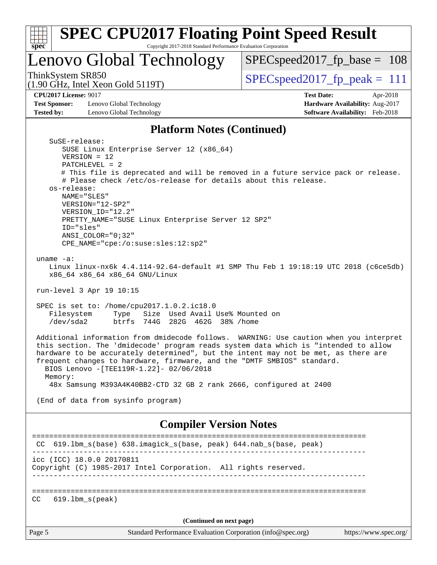| Spec<br>Lenovo Global Technology                                                                                                                                                                                                                                                                                                                                       | Copyright 2017-2018 Standard Performance Evaluation Corporation                                                                                                                                                                       | $SPEC speed2017_fp\_base = 108$                                                                                                                                                                                                                                                                                                                                                                                                                  |                                                                           |  |
|------------------------------------------------------------------------------------------------------------------------------------------------------------------------------------------------------------------------------------------------------------------------------------------------------------------------------------------------------------------------|---------------------------------------------------------------------------------------------------------------------------------------------------------------------------------------------------------------------------------------|--------------------------------------------------------------------------------------------------------------------------------------------------------------------------------------------------------------------------------------------------------------------------------------------------------------------------------------------------------------------------------------------------------------------------------------------------|---------------------------------------------------------------------------|--|
|                                                                                                                                                                                                                                                                                                                                                                        |                                                                                                                                                                                                                                       |                                                                                                                                                                                                                                                                                                                                                                                                                                                  |                                                                           |  |
| ThinkSystem SR850<br>$(1.90 \text{ GHz}, \text{Intel Xeon Gold } 5119 \text{T})$                                                                                                                                                                                                                                                                                       |                                                                                                                                                                                                                                       | $SPEC speed2017_fp\_peak = 111$                                                                                                                                                                                                                                                                                                                                                                                                                  |                                                                           |  |
| <b>CPU2017 License: 9017</b>                                                                                                                                                                                                                                                                                                                                           |                                                                                                                                                                                                                                       | <b>Test Date:</b>                                                                                                                                                                                                                                                                                                                                                                                                                                | Apr-2018                                                                  |  |
| <b>Test Sponsor:</b><br>Lenovo Global Technology<br>Lenovo Global Technology<br><b>Tested by:</b>                                                                                                                                                                                                                                                                      |                                                                                                                                                                                                                                       |                                                                                                                                                                                                                                                                                                                                                                                                                                                  | Hardware Availability: Aug-2017<br><b>Software Availability:</b> Feb-2018 |  |
|                                                                                                                                                                                                                                                                                                                                                                        | <b>Platform Notes (Continued)</b>                                                                                                                                                                                                     |                                                                                                                                                                                                                                                                                                                                                                                                                                                  |                                                                           |  |
| SuSE-release:<br>$VERSION = 12$<br>$PATCHLEVEL = 2$<br>os-release:<br>NAME="SLES"<br>VERSION="12-SP2"<br>VERSION_ID="12.2"<br>ID="sles"<br>$ANSI\_COLOR = "0;32"$<br>CPE_NAME="cpe:/o:suse:sles:12:sp2"<br>uname $-a$ :<br>x86_64 x86_64 x86_64 GNU/Linux<br>run-level 3 Apr 19 10:15<br>SPEC is set to: /home/cpu2017.1.0.2.ic18.0<br>Filesystem<br>Type<br>/dev/sda2 | SUSE Linux Enterprise Server 12 (x86_64)<br># Please check /etc/os-release for details about this release.<br>PRETTY_NAME="SUSE Linux Enterprise Server 12 SP2"<br>Size Used Avail Use% Mounted on<br>btrfs 744G 282G 462G 38% / home | # This file is deprecated and will be removed in a future service pack or release.<br>Linux linux-nx6k 4.4.114-92.64-default #1 SMP Thu Feb 1 19:18:19 UTC 2018 (c6ce5db)<br>Additional information from dmidecode follows. WARNING: Use caution when you interpret<br>this section. The 'dmidecode' program reads system data which is "intended to allow<br>hardware to be accurately determined", but the intent may not be met, as there are |                                                                           |  |
| BIOS Lenovo - [TEE119R-1.22]- 02/06/2018                                                                                                                                                                                                                                                                                                                               |                                                                                                                                                                                                                                       | frequent changes to hardware, firmware, and the "DMTF SMBIOS" standard.                                                                                                                                                                                                                                                                                                                                                                          |                                                                           |  |
| Memory:                                                                                                                                                                                                                                                                                                                                                                |                                                                                                                                                                                                                                       | 48x Samsung M393A4K40BB2-CTD 32 GB 2 rank 2666, configured at 2400                                                                                                                                                                                                                                                                                                                                                                               |                                                                           |  |
| (End of data from sysinfo program)                                                                                                                                                                                                                                                                                                                                     |                                                                                                                                                                                                                                       |                                                                                                                                                                                                                                                                                                                                                                                                                                                  |                                                                           |  |
|                                                                                                                                                                                                                                                                                                                                                                        | <b>Compiler Version Notes</b>                                                                                                                                                                                                         |                                                                                                                                                                                                                                                                                                                                                                                                                                                  |                                                                           |  |
| CC 619.1bm_s(base) 638.imagick_s(base, peak) 644.nab_s(base, peak)                                                                                                                                                                                                                                                                                                     |                                                                                                                                                                                                                                       |                                                                                                                                                                                                                                                                                                                                                                                                                                                  |                                                                           |  |
|                                                                                                                                                                                                                                                                                                                                                                        |                                                                                                                                                                                                                                       |                                                                                                                                                                                                                                                                                                                                                                                                                                                  |                                                                           |  |
| icc (ICC) 18.0.0 20170811<br>Copyright (C) 1985-2017 Intel Corporation. All rights reserved.                                                                                                                                                                                                                                                                           |                                                                                                                                                                                                                                       |                                                                                                                                                                                                                                                                                                                                                                                                                                                  |                                                                           |  |
|                                                                                                                                                                                                                                                                                                                                                                        |                                                                                                                                                                                                                                       |                                                                                                                                                                                                                                                                                                                                                                                                                                                  |                                                                           |  |
| $619.1$ bm_s(peak)<br>CC.                                                                                                                                                                                                                                                                                                                                              |                                                                                                                                                                                                                                       |                                                                                                                                                                                                                                                                                                                                                                                                                                                  |                                                                           |  |
|                                                                                                                                                                                                                                                                                                                                                                        | (Continued on next page)                                                                                                                                                                                                              |                                                                                                                                                                                                                                                                                                                                                                                                                                                  |                                                                           |  |
| Page 5                                                                                                                                                                                                                                                                                                                                                                 | Standard Performance Evaluation Corporation (info@spec.org)                                                                                                                                                                           |                                                                                                                                                                                                                                                                                                                                                                                                                                                  | https://www.spec.org/                                                     |  |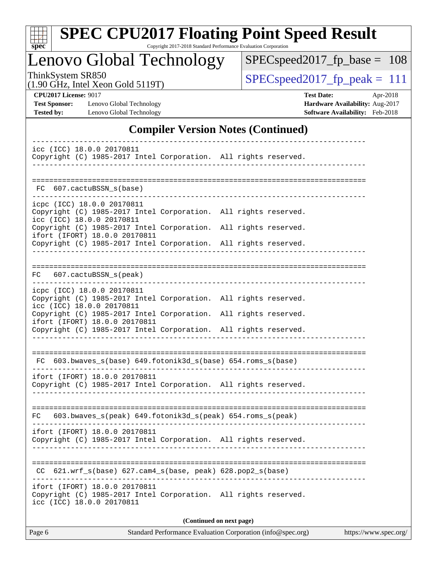| ÷<br>c<br>ı |  |  |  |  |  |
|-------------|--|--|--|--|--|

# **[SPEC CPU2017 Floating Point Speed Result](http://www.spec.org/auto/cpu2017/Docs/result-fields.html#SPECCPU2017FloatingPointSpeedResult)**

Copyright 2017-2018 Standard Performance Evaluation Corporation

Lenovo Global Technology

[SPECspeed2017\\_fp\\_base =](http://www.spec.org/auto/cpu2017/Docs/result-fields.html#SPECspeed2017fpbase) 108

(1.90 GHz, Intel Xeon Gold 5119T)

 $SPEC speed2017_fp\_peak = 111$ 

**[Tested by:](http://www.spec.org/auto/cpu2017/Docs/result-fields.html#Testedby)** Lenovo Global Technology **[Software Availability:](http://www.spec.org/auto/cpu2017/Docs/result-fields.html#SoftwareAvailability)** Feb-2018

**[CPU2017 License:](http://www.spec.org/auto/cpu2017/Docs/result-fields.html#CPU2017License)** 9017 **[Test Date:](http://www.spec.org/auto/cpu2017/Docs/result-fields.html#TestDate)** Apr-2018 **[Test Sponsor:](http://www.spec.org/auto/cpu2017/Docs/result-fields.html#TestSponsor)** Lenovo Global Technology **[Hardware Availability:](http://www.spec.org/auto/cpu2017/Docs/result-fields.html#HardwareAvailability)** Aug-2017

### **[Compiler Version Notes \(Continued\)](http://www.spec.org/auto/cpu2017/Docs/result-fields.html#CompilerVersionNotes)**

| icc (ICC) 18.0.0 20170811<br>Copyright (C) 1985-2017 Intel Corporation. All rights reserved.                                                                                                                                                                                                      |  |  |  |  |  |  |  |
|---------------------------------------------------------------------------------------------------------------------------------------------------------------------------------------------------------------------------------------------------------------------------------------------------|--|--|--|--|--|--|--|
| FC 607.cactuBSSN s(base)                                                                                                                                                                                                                                                                          |  |  |  |  |  |  |  |
| icpc (ICC) 18.0.0 20170811<br>Copyright (C) 1985-2017 Intel Corporation. All rights reserved.<br>icc (ICC) 18.0.0 20170811<br>Copyright (C) 1985-2017 Intel Corporation. All rights reserved.<br>ifort (IFORT) 18.0.0 20170811<br>Copyright (C) 1985-2017 Intel Corporation. All rights reserved. |  |  |  |  |  |  |  |
| FC 607.cactuBSSN_s(peak)                                                                                                                                                                                                                                                                          |  |  |  |  |  |  |  |
| icpc (ICC) 18.0.0 20170811<br>Copyright (C) 1985-2017 Intel Corporation. All rights reserved.<br>icc (ICC) 18.0.0 20170811<br>Copyright (C) 1985-2017 Intel Corporation. All rights reserved.<br>ifort (IFORT) 18.0.0 20170811<br>Copyright (C) 1985-2017 Intel Corporation. All rights reserved. |  |  |  |  |  |  |  |
| $FC 603.bwaves_s(base) 649.fotonik3d_s(base) 654.roms_s(base)$                                                                                                                                                                                                                                    |  |  |  |  |  |  |  |
| ifort (IFORT) 18.0.0 20170811<br>Copyright (C) 1985-2017 Intel Corporation. All rights reserved.                                                                                                                                                                                                  |  |  |  |  |  |  |  |
| 603.bwaves_s(peak) 649.fotonik3d_s(peak) 654.roms_s(peak)<br>FC                                                                                                                                                                                                                                   |  |  |  |  |  |  |  |
| ifort (IFORT) 18.0.0 20170811<br>Copyright (C) 1985-2017 Intel Corporation. All rights reserved.                                                                                                                                                                                                  |  |  |  |  |  |  |  |
| CC 621.wrf_s(base) 627.cam4_s(base, peak) 628.pop2_s(base)                                                                                                                                                                                                                                        |  |  |  |  |  |  |  |
| ifort (IFORT) 18.0.0 20170811<br>Copyright (C) 1985-2017 Intel Corporation. All rights reserved.<br>icc (ICC) 18.0.0 20170811                                                                                                                                                                     |  |  |  |  |  |  |  |
| (Continued on next page)                                                                                                                                                                                                                                                                          |  |  |  |  |  |  |  |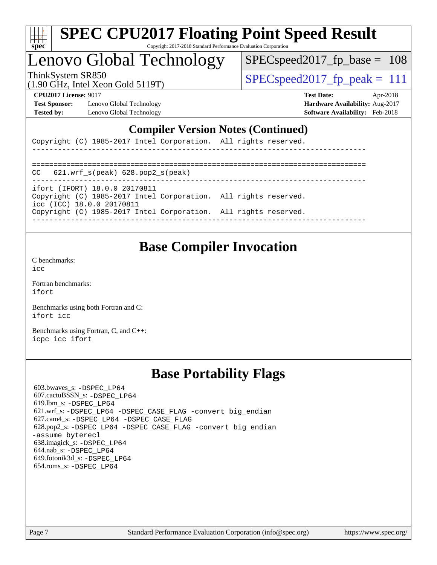| c<br>е |  |  |  |  |  |
|--------|--|--|--|--|--|

## Lenovo Global Technology

 $SPEC speed2017_fp\_base = 108$ 

(1.90 GHz, Intel Xeon Gold 5119T)

ThinkSystem SR850  $SPEC speed2017$  fp\_peak = 111

**[Test Sponsor:](http://www.spec.org/auto/cpu2017/Docs/result-fields.html#TestSponsor)** Lenovo Global Technology **[Hardware Availability:](http://www.spec.org/auto/cpu2017/Docs/result-fields.html#HardwareAvailability)** Aug-2017 **[Tested by:](http://www.spec.org/auto/cpu2017/Docs/result-fields.html#Testedby)** Lenovo Global Technology **[Software Availability:](http://www.spec.org/auto/cpu2017/Docs/result-fields.html#SoftwareAvailability)** Feb-2018

**[CPU2017 License:](http://www.spec.org/auto/cpu2017/Docs/result-fields.html#CPU2017License)** 9017 **[Test Date:](http://www.spec.org/auto/cpu2017/Docs/result-fields.html#TestDate)** Apr-2018

### **[Compiler Version Notes \(Continued\)](http://www.spec.org/auto/cpu2017/Docs/result-fields.html#CompilerVersionNotes)**

Copyright (C) 1985-2017 Intel Corporation. All rights reserved.

| $CC$ 621.wrf $s$ (peak) 628.pop2 $s$ (peak)                                                                                   |  |
|-------------------------------------------------------------------------------------------------------------------------------|--|
| ifort (IFORT) 18.0.0 20170811<br>Copyright (C) 1985-2017 Intel Corporation. All rights reserved.<br>icc (ICC) 18.0.0 20170811 |  |
| Copyright (C) 1985-2017 Intel Corporation. All rights reserved.                                                               |  |

------------------------------------------------------------------------------

### **[Base Compiler Invocation](http://www.spec.org/auto/cpu2017/Docs/result-fields.html#BaseCompilerInvocation)**

[C benchmarks](http://www.spec.org/auto/cpu2017/Docs/result-fields.html#Cbenchmarks):  $i$ cc

[Fortran benchmarks](http://www.spec.org/auto/cpu2017/Docs/result-fields.html#Fortranbenchmarks): [ifort](http://www.spec.org/cpu2017/results/res2018q2/cpu2017-20180528-05989.flags.html#user_FCbase_intel_ifort_18.0_8111460550e3ca792625aed983ce982f94888b8b503583aa7ba2b8303487b4d8a21a13e7191a45c5fd58ff318f48f9492884d4413fa793fd88dd292cad7027ca)

[Benchmarks using both Fortran and C](http://www.spec.org/auto/cpu2017/Docs/result-fields.html#BenchmarksusingbothFortranandC): [ifort](http://www.spec.org/cpu2017/results/res2018q2/cpu2017-20180528-05989.flags.html#user_CC_FCbase_intel_ifort_18.0_8111460550e3ca792625aed983ce982f94888b8b503583aa7ba2b8303487b4d8a21a13e7191a45c5fd58ff318f48f9492884d4413fa793fd88dd292cad7027ca) [icc](http://www.spec.org/cpu2017/results/res2018q2/cpu2017-20180528-05989.flags.html#user_CC_FCbase_intel_icc_18.0_66fc1ee009f7361af1fbd72ca7dcefbb700085f36577c54f309893dd4ec40d12360134090235512931783d35fd58c0460139e722d5067c5574d8eaf2b3e37e92)

[Benchmarks using Fortran, C, and C++:](http://www.spec.org/auto/cpu2017/Docs/result-fields.html#BenchmarksusingFortranCandCXX) [icpc](http://www.spec.org/cpu2017/results/res2018q2/cpu2017-20180528-05989.flags.html#user_CC_CXX_FCbase_intel_icpc_18.0_c510b6838c7f56d33e37e94d029a35b4a7bccf4766a728ee175e80a419847e808290a9b78be685c44ab727ea267ec2f070ec5dc83b407c0218cded6866a35d07) [icc](http://www.spec.org/cpu2017/results/res2018q2/cpu2017-20180528-05989.flags.html#user_CC_CXX_FCbase_intel_icc_18.0_66fc1ee009f7361af1fbd72ca7dcefbb700085f36577c54f309893dd4ec40d12360134090235512931783d35fd58c0460139e722d5067c5574d8eaf2b3e37e92) [ifort](http://www.spec.org/cpu2017/results/res2018q2/cpu2017-20180528-05989.flags.html#user_CC_CXX_FCbase_intel_ifort_18.0_8111460550e3ca792625aed983ce982f94888b8b503583aa7ba2b8303487b4d8a21a13e7191a45c5fd58ff318f48f9492884d4413fa793fd88dd292cad7027ca)

### **[Base Portability Flags](http://www.spec.org/auto/cpu2017/Docs/result-fields.html#BasePortabilityFlags)**

 603.bwaves\_s: [-DSPEC\\_LP64](http://www.spec.org/cpu2017/results/res2018q2/cpu2017-20180528-05989.flags.html#suite_basePORTABILITY603_bwaves_s_DSPEC_LP64) 607.cactuBSSN\_s: [-DSPEC\\_LP64](http://www.spec.org/cpu2017/results/res2018q2/cpu2017-20180528-05989.flags.html#suite_basePORTABILITY607_cactuBSSN_s_DSPEC_LP64) 619.lbm\_s: [-DSPEC\\_LP64](http://www.spec.org/cpu2017/results/res2018q2/cpu2017-20180528-05989.flags.html#suite_basePORTABILITY619_lbm_s_DSPEC_LP64) 621.wrf\_s: [-DSPEC\\_LP64](http://www.spec.org/cpu2017/results/res2018q2/cpu2017-20180528-05989.flags.html#suite_basePORTABILITY621_wrf_s_DSPEC_LP64) [-DSPEC\\_CASE\\_FLAG](http://www.spec.org/cpu2017/results/res2018q2/cpu2017-20180528-05989.flags.html#b621.wrf_s_baseCPORTABILITY_DSPEC_CASE_FLAG) [-convert big\\_endian](http://www.spec.org/cpu2017/results/res2018q2/cpu2017-20180528-05989.flags.html#user_baseFPORTABILITY621_wrf_s_convert_big_endian_c3194028bc08c63ac5d04de18c48ce6d347e4e562e8892b8bdbdc0214820426deb8554edfa529a3fb25a586e65a3d812c835984020483e7e73212c4d31a38223) 627.cam4\_s: [-DSPEC\\_LP64](http://www.spec.org/cpu2017/results/res2018q2/cpu2017-20180528-05989.flags.html#suite_basePORTABILITY627_cam4_s_DSPEC_LP64) [-DSPEC\\_CASE\\_FLAG](http://www.spec.org/cpu2017/results/res2018q2/cpu2017-20180528-05989.flags.html#b627.cam4_s_baseCPORTABILITY_DSPEC_CASE_FLAG) 628.pop2\_s: [-DSPEC\\_LP64](http://www.spec.org/cpu2017/results/res2018q2/cpu2017-20180528-05989.flags.html#suite_basePORTABILITY628_pop2_s_DSPEC_LP64) [-DSPEC\\_CASE\\_FLAG](http://www.spec.org/cpu2017/results/res2018q2/cpu2017-20180528-05989.flags.html#b628.pop2_s_baseCPORTABILITY_DSPEC_CASE_FLAG) [-convert big\\_endian](http://www.spec.org/cpu2017/results/res2018q2/cpu2017-20180528-05989.flags.html#user_baseFPORTABILITY628_pop2_s_convert_big_endian_c3194028bc08c63ac5d04de18c48ce6d347e4e562e8892b8bdbdc0214820426deb8554edfa529a3fb25a586e65a3d812c835984020483e7e73212c4d31a38223) [-assume byterecl](http://www.spec.org/cpu2017/results/res2018q2/cpu2017-20180528-05989.flags.html#user_baseFPORTABILITY628_pop2_s_assume_byterecl_7e47d18b9513cf18525430bbf0f2177aa9bf368bc7a059c09b2c06a34b53bd3447c950d3f8d6c70e3faf3a05c8557d66a5798b567902e8849adc142926523472) 638.imagick\_s: [-DSPEC\\_LP64](http://www.spec.org/cpu2017/results/res2018q2/cpu2017-20180528-05989.flags.html#suite_basePORTABILITY638_imagick_s_DSPEC_LP64) 644.nab\_s: [-DSPEC\\_LP64](http://www.spec.org/cpu2017/results/res2018q2/cpu2017-20180528-05989.flags.html#suite_basePORTABILITY644_nab_s_DSPEC_LP64) 649.fotonik3d\_s: [-DSPEC\\_LP64](http://www.spec.org/cpu2017/results/res2018q2/cpu2017-20180528-05989.flags.html#suite_basePORTABILITY649_fotonik3d_s_DSPEC_LP64) 654.roms\_s: [-DSPEC\\_LP64](http://www.spec.org/cpu2017/results/res2018q2/cpu2017-20180528-05989.flags.html#suite_basePORTABILITY654_roms_s_DSPEC_LP64)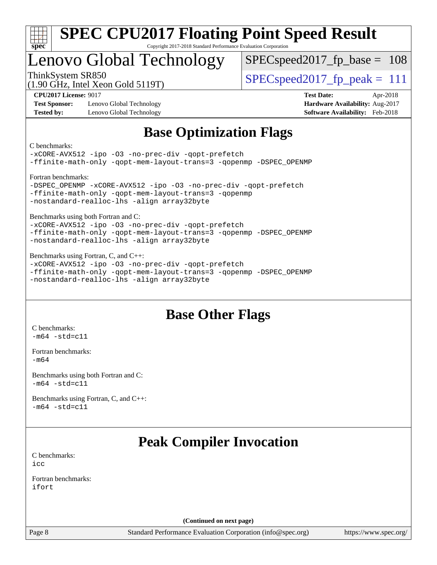

## Lenovo Global Technology

SPECspeed2017 fp base =  $108$ 

(1.90 GHz, Intel Xeon Gold 5119T)

ThinkSystem SR850  $SPEC speed2017$  fp\_peak = 111

**[Test Sponsor:](http://www.spec.org/auto/cpu2017/Docs/result-fields.html#TestSponsor)** Lenovo Global Technology **[Hardware Availability:](http://www.spec.org/auto/cpu2017/Docs/result-fields.html#HardwareAvailability)** Aug-2017 **[Tested by:](http://www.spec.org/auto/cpu2017/Docs/result-fields.html#Testedby)** Lenovo Global Technology **[Software Availability:](http://www.spec.org/auto/cpu2017/Docs/result-fields.html#SoftwareAvailability)** Feb-2018

**[CPU2017 License:](http://www.spec.org/auto/cpu2017/Docs/result-fields.html#CPU2017License)** 9017 **[Test Date:](http://www.spec.org/auto/cpu2017/Docs/result-fields.html#TestDate)** Apr-2018

### **[Base Optimization Flags](http://www.spec.org/auto/cpu2017/Docs/result-fields.html#BaseOptimizationFlags)**

[C benchmarks](http://www.spec.org/auto/cpu2017/Docs/result-fields.html#Cbenchmarks):

```
-xCORE-AVX512 -ipo -O3 -no-prec-div -qopt-prefetch
-ffinite-math-only -qopt-mem-layout-trans=3 -qopenmp -DSPEC_OPENMP
Fortran benchmarks: 
-DSPEC_OPENMP -xCORE-AVX512 -ipo -O3 -no-prec-div -qopt-prefetch
-ffinite-math-only -qopt-mem-layout-trans=3 -qopenmp
-nostandard-realloc-lhs -align array32byte
Benchmarks using both Fortran and C: 
-xCORE-AVX512 -ipo -O3 -no-prec-div -qopt-prefetch
-ffinite-math-only -qopt-mem-layout-trans=3 -qopenmp -DSPEC_OPENMP
-nostandard-realloc-lhs -align array32byte
Benchmarks using Fortran, C, and C++: 
-xCORE-AVX512 -ipo -O3 -no-prec-div -qopt-prefetch
```

```
-ffinite-math-only -qopt-mem-layout-trans=3 -qopenmp -DSPEC_OPENMP
-nostandard-realloc-lhs -align array32byte
```
### **[Base Other Flags](http://www.spec.org/auto/cpu2017/Docs/result-fields.html#BaseOtherFlags)**

[C benchmarks](http://www.spec.org/auto/cpu2017/Docs/result-fields.html#Cbenchmarks):  $-m64 - std= c11$  $-m64 - std= c11$ 

[Fortran benchmarks](http://www.spec.org/auto/cpu2017/Docs/result-fields.html#Fortranbenchmarks): [-m64](http://www.spec.org/cpu2017/results/res2018q2/cpu2017-20180528-05989.flags.html#user_FCbase_intel_intel64_18.0_af43caccfc8ded86e7699f2159af6efc7655f51387b94da716254467f3c01020a5059329e2569e4053f409e7c9202a7efc638f7a6d1ffb3f52dea4a3e31d82ab)

[Benchmarks using both Fortran and C](http://www.spec.org/auto/cpu2017/Docs/result-fields.html#BenchmarksusingbothFortranandC):  $-m64$   $-std=cl1$ 

[Benchmarks using Fortran, C, and C++:](http://www.spec.org/auto/cpu2017/Docs/result-fields.html#BenchmarksusingFortranCandCXX)  $-m64 - std= c11$  $-m64 - std= c11$ 

### **[Peak Compiler Invocation](http://www.spec.org/auto/cpu2017/Docs/result-fields.html#PeakCompilerInvocation)**

[C benchmarks](http://www.spec.org/auto/cpu2017/Docs/result-fields.html#Cbenchmarks): [icc](http://www.spec.org/cpu2017/results/res2018q2/cpu2017-20180528-05989.flags.html#user_CCpeak_intel_icc_18.0_66fc1ee009f7361af1fbd72ca7dcefbb700085f36577c54f309893dd4ec40d12360134090235512931783d35fd58c0460139e722d5067c5574d8eaf2b3e37e92)

[Fortran benchmarks](http://www.spec.org/auto/cpu2017/Docs/result-fields.html#Fortranbenchmarks): [ifort](http://www.spec.org/cpu2017/results/res2018q2/cpu2017-20180528-05989.flags.html#user_FCpeak_intel_ifort_18.0_8111460550e3ca792625aed983ce982f94888b8b503583aa7ba2b8303487b4d8a21a13e7191a45c5fd58ff318f48f9492884d4413fa793fd88dd292cad7027ca)

**(Continued on next page)**

Page 8 Standard Performance Evaluation Corporation [\(info@spec.org\)](mailto:info@spec.org) <https://www.spec.org/>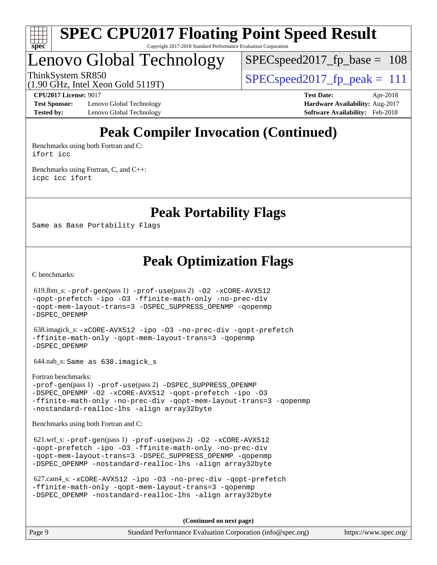

Lenovo Global Technology

SPECspeed2017 fp base =  $108$ 

ThinkSystem SR850  $SPEC speed2017$  fp\_peak = 111

(1.90 GHz, Intel Xeon Gold 5119T)

**[Test Sponsor:](http://www.spec.org/auto/cpu2017/Docs/result-fields.html#TestSponsor)** Lenovo Global Technology **[Hardware Availability:](http://www.spec.org/auto/cpu2017/Docs/result-fields.html#HardwareAvailability)** Aug-2017 **[Tested by:](http://www.spec.org/auto/cpu2017/Docs/result-fields.html#Testedby)** Lenovo Global Technology **[Software Availability:](http://www.spec.org/auto/cpu2017/Docs/result-fields.html#SoftwareAvailability)** Feb-2018

**[CPU2017 License:](http://www.spec.org/auto/cpu2017/Docs/result-fields.html#CPU2017License)** 9017 **[Test Date:](http://www.spec.org/auto/cpu2017/Docs/result-fields.html#TestDate)** Apr-2018

## **[Peak Compiler Invocation \(Continued\)](http://www.spec.org/auto/cpu2017/Docs/result-fields.html#PeakCompilerInvocation)**

[Benchmarks using both Fortran and C](http://www.spec.org/auto/cpu2017/Docs/result-fields.html#BenchmarksusingbothFortranandC): [ifort](http://www.spec.org/cpu2017/results/res2018q2/cpu2017-20180528-05989.flags.html#user_CC_FCpeak_intel_ifort_18.0_8111460550e3ca792625aed983ce982f94888b8b503583aa7ba2b8303487b4d8a21a13e7191a45c5fd58ff318f48f9492884d4413fa793fd88dd292cad7027ca) [icc](http://www.spec.org/cpu2017/results/res2018q2/cpu2017-20180528-05989.flags.html#user_CC_FCpeak_intel_icc_18.0_66fc1ee009f7361af1fbd72ca7dcefbb700085f36577c54f309893dd4ec40d12360134090235512931783d35fd58c0460139e722d5067c5574d8eaf2b3e37e92)

[Benchmarks using Fortran, C, and C++:](http://www.spec.org/auto/cpu2017/Docs/result-fields.html#BenchmarksusingFortranCandCXX) [icpc](http://www.spec.org/cpu2017/results/res2018q2/cpu2017-20180528-05989.flags.html#user_CC_CXX_FCpeak_intel_icpc_18.0_c510b6838c7f56d33e37e94d029a35b4a7bccf4766a728ee175e80a419847e808290a9b78be685c44ab727ea267ec2f070ec5dc83b407c0218cded6866a35d07) [icc](http://www.spec.org/cpu2017/results/res2018q2/cpu2017-20180528-05989.flags.html#user_CC_CXX_FCpeak_intel_icc_18.0_66fc1ee009f7361af1fbd72ca7dcefbb700085f36577c54f309893dd4ec40d12360134090235512931783d35fd58c0460139e722d5067c5574d8eaf2b3e37e92) [ifort](http://www.spec.org/cpu2017/results/res2018q2/cpu2017-20180528-05989.flags.html#user_CC_CXX_FCpeak_intel_ifort_18.0_8111460550e3ca792625aed983ce982f94888b8b503583aa7ba2b8303487b4d8a21a13e7191a45c5fd58ff318f48f9492884d4413fa793fd88dd292cad7027ca)

**[Peak Portability Flags](http://www.spec.org/auto/cpu2017/Docs/result-fields.html#PeakPortabilityFlags)**

Same as Base Portability Flags

**[Peak Optimization Flags](http://www.spec.org/auto/cpu2017/Docs/result-fields.html#PeakOptimizationFlags)**

[C benchmarks](http://www.spec.org/auto/cpu2017/Docs/result-fields.html#Cbenchmarks):

 619.lbm\_s: [-prof-gen](http://www.spec.org/cpu2017/results/res2018q2/cpu2017-20180528-05989.flags.html#user_peakPASS1_CFLAGSPASS1_LDFLAGS619_lbm_s_prof_gen_5aa4926d6013ddb2a31985c654b3eb18169fc0c6952a63635c234f711e6e63dd76e94ad52365559451ec499a2cdb89e4dc58ba4c67ef54ca681ffbe1461d6b36)(pass 1) [-prof-use](http://www.spec.org/cpu2017/results/res2018q2/cpu2017-20180528-05989.flags.html#user_peakPASS2_CFLAGSPASS2_LDFLAGS619_lbm_s_prof_use_1a21ceae95f36a2b53c25747139a6c16ca95bd9def2a207b4f0849963b97e94f5260e30a0c64f4bb623698870e679ca08317ef8150905d41bd88c6f78df73f19)(pass 2) [-O2](http://www.spec.org/cpu2017/results/res2018q2/cpu2017-20180528-05989.flags.html#user_peakPASS1_COPTIMIZE619_lbm_s_f-O2) [-xCORE-AVX512](http://www.spec.org/cpu2017/results/res2018q2/cpu2017-20180528-05989.flags.html#user_peakPASS2_COPTIMIZE619_lbm_s_f-xCORE-AVX512) [-qopt-prefetch](http://www.spec.org/cpu2017/results/res2018q2/cpu2017-20180528-05989.flags.html#user_peakPASS1_COPTIMIZEPASS2_COPTIMIZE619_lbm_s_f-qopt-prefetch) [-ipo](http://www.spec.org/cpu2017/results/res2018q2/cpu2017-20180528-05989.flags.html#user_peakPASS2_COPTIMIZE619_lbm_s_f-ipo) [-O3](http://www.spec.org/cpu2017/results/res2018q2/cpu2017-20180528-05989.flags.html#user_peakPASS2_COPTIMIZE619_lbm_s_f-O3) [-ffinite-math-only](http://www.spec.org/cpu2017/results/res2018q2/cpu2017-20180528-05989.flags.html#user_peakPASS1_COPTIMIZEPASS2_COPTIMIZE619_lbm_s_f_finite_math_only_cb91587bd2077682c4b38af759c288ed7c732db004271a9512da14a4f8007909a5f1427ecbf1a0fb78ff2a814402c6114ac565ca162485bbcae155b5e4258871) [-no-prec-div](http://www.spec.org/cpu2017/results/res2018q2/cpu2017-20180528-05989.flags.html#user_peakPASS2_COPTIMIZE619_lbm_s_f-no-prec-div) [-qopt-mem-layout-trans=3](http://www.spec.org/cpu2017/results/res2018q2/cpu2017-20180528-05989.flags.html#user_peakPASS1_COPTIMIZEPASS2_COPTIMIZE619_lbm_s_f-qopt-mem-layout-trans_de80db37974c74b1f0e20d883f0b675c88c3b01e9d123adea9b28688d64333345fb62bc4a798493513fdb68f60282f9a726aa07f478b2f7113531aecce732043) [-DSPEC\\_SUPPRESS\\_OPENMP](http://www.spec.org/cpu2017/results/res2018q2/cpu2017-20180528-05989.flags.html#suite_peakPASS1_COPTIMIZE619_lbm_s_DSPEC_SUPPRESS_OPENMP) [-qopenmp](http://www.spec.org/cpu2017/results/res2018q2/cpu2017-20180528-05989.flags.html#user_peakPASS2_COPTIMIZE619_lbm_s_qopenmp_16be0c44f24f464004c6784a7acb94aca937f053568ce72f94b139a11c7c168634a55f6653758ddd83bcf7b8463e8028bb0b48b77bcddc6b78d5d95bb1df2967) [-DSPEC\\_OPENMP](http://www.spec.org/cpu2017/results/res2018q2/cpu2017-20180528-05989.flags.html#suite_peakPASS2_COPTIMIZE619_lbm_s_DSPEC_OPENMP) 638.imagick\_s: [-xCORE-AVX512](http://www.spec.org/cpu2017/results/res2018q2/cpu2017-20180528-05989.flags.html#user_peakCOPTIMIZE638_imagick_s_f-xCORE-AVX512) [-ipo](http://www.spec.org/cpu2017/results/res2018q2/cpu2017-20180528-05989.flags.html#user_peakCOPTIMIZE638_imagick_s_f-ipo) [-O3](http://www.spec.org/cpu2017/results/res2018q2/cpu2017-20180528-05989.flags.html#user_peakCOPTIMIZE638_imagick_s_f-O3) [-no-prec-div](http://www.spec.org/cpu2017/results/res2018q2/cpu2017-20180528-05989.flags.html#user_peakCOPTIMIZE638_imagick_s_f-no-prec-div) [-qopt-prefetch](http://www.spec.org/cpu2017/results/res2018q2/cpu2017-20180528-05989.flags.html#user_peakCOPTIMIZE638_imagick_s_f-qopt-prefetch) [-ffinite-math-only](http://www.spec.org/cpu2017/results/res2018q2/cpu2017-20180528-05989.flags.html#user_peakCOPTIMIZE638_imagick_s_f_finite_math_only_cb91587bd2077682c4b38af759c288ed7c732db004271a9512da14a4f8007909a5f1427ecbf1a0fb78ff2a814402c6114ac565ca162485bbcae155b5e4258871) [-qopt-mem-layout-trans=3](http://www.spec.org/cpu2017/results/res2018q2/cpu2017-20180528-05989.flags.html#user_peakCOPTIMIZE638_imagick_s_f-qopt-mem-layout-trans_de80db37974c74b1f0e20d883f0b675c88c3b01e9d123adea9b28688d64333345fb62bc4a798493513fdb68f60282f9a726aa07f478b2f7113531aecce732043) [-qopenmp](http://www.spec.org/cpu2017/results/res2018q2/cpu2017-20180528-05989.flags.html#user_peakCOPTIMIZE638_imagick_s_qopenmp_16be0c44f24f464004c6784a7acb94aca937f053568ce72f94b139a11c7c168634a55f6653758ddd83bcf7b8463e8028bb0b48b77bcddc6b78d5d95bb1df2967) [-DSPEC\\_OPENMP](http://www.spec.org/cpu2017/results/res2018q2/cpu2017-20180528-05989.flags.html#suite_peakCOPTIMIZE638_imagick_s_DSPEC_OPENMP) 644.nab\_s: Same as 638.imagick\_s [Fortran benchmarks](http://www.spec.org/auto/cpu2017/Docs/result-fields.html#Fortranbenchmarks): [-prof-gen](http://www.spec.org/cpu2017/results/res2018q2/cpu2017-20180528-05989.flags.html#user_FCpeak_prof_gen_5aa4926d6013ddb2a31985c654b3eb18169fc0c6952a63635c234f711e6e63dd76e94ad52365559451ec499a2cdb89e4dc58ba4c67ef54ca681ffbe1461d6b36)(pass 1) [-prof-use](http://www.spec.org/cpu2017/results/res2018q2/cpu2017-20180528-05989.flags.html#user_FCpeak_prof_use_1a21ceae95f36a2b53c25747139a6c16ca95bd9def2a207b4f0849963b97e94f5260e30a0c64f4bb623698870e679ca08317ef8150905d41bd88c6f78df73f19)(pass 2) [-DSPEC\\_SUPPRESS\\_OPENMP](http://www.spec.org/cpu2017/results/res2018q2/cpu2017-20180528-05989.flags.html#suite_FCpeak_DSPEC_SUPPRESS_OPENMP) -DSPEC OPENMP [-O2](http://www.spec.org/cpu2017/results/res2018q2/cpu2017-20180528-05989.flags.html#user_FCpeak_f-O2) [-xCORE-AVX512](http://www.spec.org/cpu2017/results/res2018q2/cpu2017-20180528-05989.flags.html#user_FCpeak_f-xCORE-AVX512) [-qopt-prefetch](http://www.spec.org/cpu2017/results/res2018q2/cpu2017-20180528-05989.flags.html#user_FCpeak_f-qopt-prefetch) [-ipo](http://www.spec.org/cpu2017/results/res2018q2/cpu2017-20180528-05989.flags.html#user_FCpeak_f-ipo) [-O3](http://www.spec.org/cpu2017/results/res2018q2/cpu2017-20180528-05989.flags.html#user_FCpeak_f-O3) [-ffinite-math-only](http://www.spec.org/cpu2017/results/res2018q2/cpu2017-20180528-05989.flags.html#user_FCpeak_f_finite_math_only_cb91587bd2077682c4b38af759c288ed7c732db004271a9512da14a4f8007909a5f1427ecbf1a0fb78ff2a814402c6114ac565ca162485bbcae155b5e4258871) [-no-prec-div](http://www.spec.org/cpu2017/results/res2018q2/cpu2017-20180528-05989.flags.html#user_FCpeak_f-no-prec-div) [-qopt-mem-layout-trans=3](http://www.spec.org/cpu2017/results/res2018q2/cpu2017-20180528-05989.flags.html#user_FCpeak_f-qopt-mem-layout-trans_de80db37974c74b1f0e20d883f0b675c88c3b01e9d123adea9b28688d64333345fb62bc4a798493513fdb68f60282f9a726aa07f478b2f7113531aecce732043) [-qopenmp](http://www.spec.org/cpu2017/results/res2018q2/cpu2017-20180528-05989.flags.html#user_FCpeak_qopenmp_16be0c44f24f464004c6784a7acb94aca937f053568ce72f94b139a11c7c168634a55f6653758ddd83bcf7b8463e8028bb0b48b77bcddc6b78d5d95bb1df2967) [-nostandard-realloc-lhs](http://www.spec.org/cpu2017/results/res2018q2/cpu2017-20180528-05989.flags.html#user_FCpeak_f_2003_std_realloc_82b4557e90729c0f113870c07e44d33d6f5a304b4f63d4c15d2d0f1fab99f5daaed73bdb9275d9ae411527f28b936061aa8b9c8f2d63842963b95c9dd6426b8a) [-align array32byte](http://www.spec.org/cpu2017/results/res2018q2/cpu2017-20180528-05989.flags.html#user_FCpeak_align_array32byte_b982fe038af199962ba9a80c053b8342c548c85b40b8e86eb3cc33dee0d7986a4af373ac2d51c3f7cf710a18d62fdce2948f201cd044323541f22fc0fffc51b6) [Benchmarks using both Fortran and C](http://www.spec.org/auto/cpu2017/Docs/result-fields.html#BenchmarksusingbothFortranandC): 621.wrf\_s: [-prof-gen](http://www.spec.org/cpu2017/results/res2018q2/cpu2017-20180528-05989.flags.html#user_peakPASS1_CFLAGSPASS1_FFLAGSPASS1_LDFLAGS621_wrf_s_prof_gen_5aa4926d6013ddb2a31985c654b3eb18169fc0c6952a63635c234f711e6e63dd76e94ad52365559451ec499a2cdb89e4dc58ba4c67ef54ca681ffbe1461d6b36)(pass 1) [-prof-use](http://www.spec.org/cpu2017/results/res2018q2/cpu2017-20180528-05989.flags.html#user_peakPASS2_CFLAGSPASS2_FFLAGSPASS2_LDFLAGS621_wrf_s_prof_use_1a21ceae95f36a2b53c25747139a6c16ca95bd9def2a207b4f0849963b97e94f5260e30a0c64f4bb623698870e679ca08317ef8150905d41bd88c6f78df73f19)(pass 2) [-O2](http://www.spec.org/cpu2017/results/res2018q2/cpu2017-20180528-05989.flags.html#user_peakPASS1_COPTIMIZEPASS1_FOPTIMIZE621_wrf_s_f-O2) [-xCORE-AVX512](http://www.spec.org/cpu2017/results/res2018q2/cpu2017-20180528-05989.flags.html#user_peakPASS2_COPTIMIZEPASS2_FOPTIMIZE621_wrf_s_f-xCORE-AVX512) [-qopt-prefetch](http://www.spec.org/cpu2017/results/res2018q2/cpu2017-20180528-05989.flags.html#user_peakPASS1_COPTIMIZEPASS1_FOPTIMIZEPASS2_COPTIMIZEPASS2_FOPTIMIZE621_wrf_s_f-qopt-prefetch) [-ipo](http://www.spec.org/cpu2017/results/res2018q2/cpu2017-20180528-05989.flags.html#user_peakPASS2_COPTIMIZEPASS2_FOPTIMIZE621_wrf_s_f-ipo) [-O3](http://www.spec.org/cpu2017/results/res2018q2/cpu2017-20180528-05989.flags.html#user_peakPASS2_COPTIMIZEPASS2_FOPTIMIZE621_wrf_s_f-O3) [-ffinite-math-only](http://www.spec.org/cpu2017/results/res2018q2/cpu2017-20180528-05989.flags.html#user_peakPASS1_COPTIMIZEPASS1_FOPTIMIZEPASS2_COPTIMIZEPASS2_FOPTIMIZE621_wrf_s_f_finite_math_only_cb91587bd2077682c4b38af759c288ed7c732db004271a9512da14a4f8007909a5f1427ecbf1a0fb78ff2a814402c6114ac565ca162485bbcae155b5e4258871) [-no-prec-div](http://www.spec.org/cpu2017/results/res2018q2/cpu2017-20180528-05989.flags.html#user_peakPASS2_COPTIMIZEPASS2_FOPTIMIZE621_wrf_s_f-no-prec-div) [-qopt-mem-layout-trans=3](http://www.spec.org/cpu2017/results/res2018q2/cpu2017-20180528-05989.flags.html#user_peakPASS1_COPTIMIZEPASS1_FOPTIMIZEPASS2_COPTIMIZEPASS2_FOPTIMIZE621_wrf_s_f-qopt-mem-layout-trans_de80db37974c74b1f0e20d883f0b675c88c3b01e9d123adea9b28688d64333345fb62bc4a798493513fdb68f60282f9a726aa07f478b2f7113531aecce732043) [-DSPEC\\_SUPPRESS\\_OPENMP](http://www.spec.org/cpu2017/results/res2018q2/cpu2017-20180528-05989.flags.html#suite_peakPASS1_COPTIMIZEPASS1_FOPTIMIZE621_wrf_s_DSPEC_SUPPRESS_OPENMP) [-qopenmp](http://www.spec.org/cpu2017/results/res2018q2/cpu2017-20180528-05989.flags.html#user_peakPASS2_COPTIMIZEPASS2_FOPTIMIZE621_wrf_s_qopenmp_16be0c44f24f464004c6784a7acb94aca937f053568ce72f94b139a11c7c168634a55f6653758ddd83bcf7b8463e8028bb0b48b77bcddc6b78d5d95bb1df2967) [-DSPEC\\_OPENMP](http://www.spec.org/cpu2017/results/res2018q2/cpu2017-20180528-05989.flags.html#suite_peakPASS2_COPTIMIZEPASS2_FOPTIMIZE621_wrf_s_DSPEC_OPENMP) [-nostandard-realloc-lhs](http://www.spec.org/cpu2017/results/res2018q2/cpu2017-20180528-05989.flags.html#user_peakEXTRA_FOPTIMIZE621_wrf_s_f_2003_std_realloc_82b4557e90729c0f113870c07e44d33d6f5a304b4f63d4c15d2d0f1fab99f5daaed73bdb9275d9ae411527f28b936061aa8b9c8f2d63842963b95c9dd6426b8a) [-align array32byte](http://www.spec.org/cpu2017/results/res2018q2/cpu2017-20180528-05989.flags.html#user_peakEXTRA_FOPTIMIZE621_wrf_s_align_array32byte_b982fe038af199962ba9a80c053b8342c548c85b40b8e86eb3cc33dee0d7986a4af373ac2d51c3f7cf710a18d62fdce2948f201cd044323541f22fc0fffc51b6)

```
 627.cam4_s: -xCORE-AVX512 -ipo -O3 -no-prec-div -qopt-prefetch
-ffinite-math-only -qopt-mem-layout-trans=3 -qopenmp
-DSPEC_OPENMP -nostandard-realloc-lhs -align array32byte
```
**(Continued on next page)**